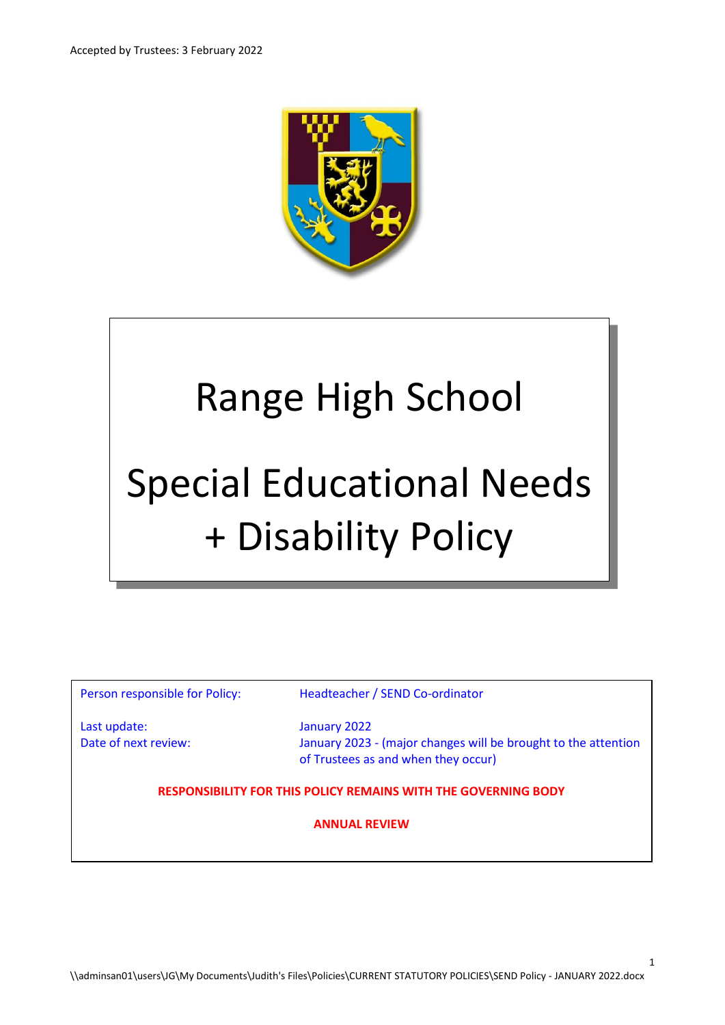

# Range High School

# Special Educational Needs + Disability Policy

Person responsible for Policy: Headteacher / SEND Co-ordinator

Last update: January 2022

Date of next review: January 2023 - (major changes will be brought to the attention of Trustees as and when they occur)

1

**RESPONSIBILITY FOR THIS POLICY REMAINS WITH THE GOVERNING BODY**

**ANNUAL REVIEW**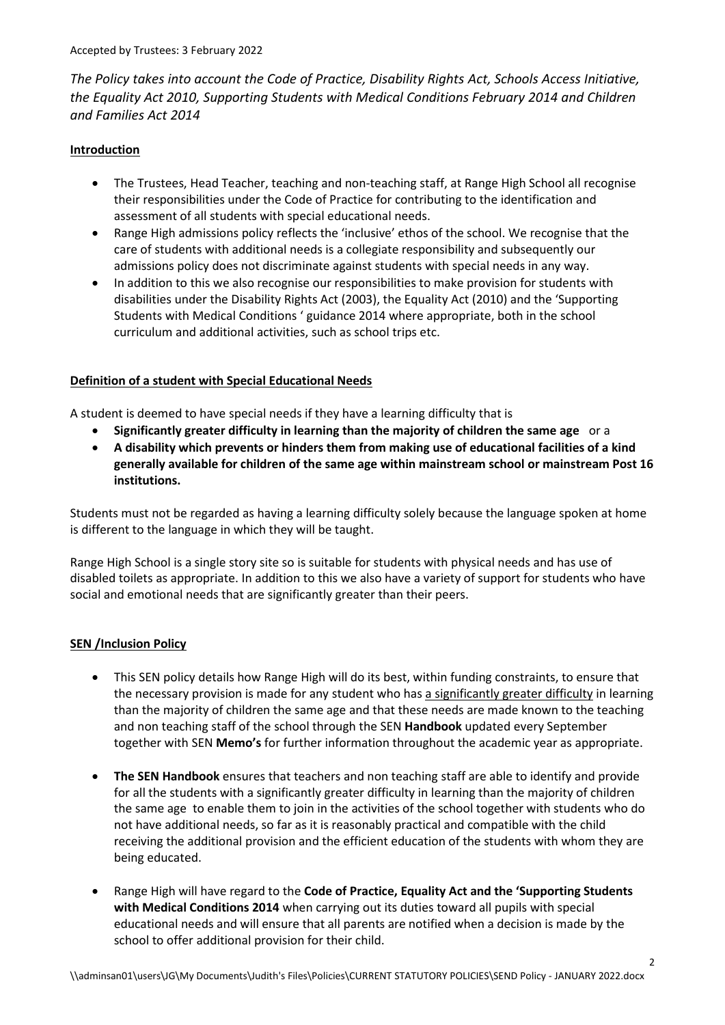*The Policy takes into account the Code of Practice, Disability Rights Act, Schools Access Initiative, the Equality Act 2010, Supporting Students with Medical Conditions February 2014 and Children and Families Act 2014*

# **Introduction**

- The Trustees, Head Teacher, teaching and non-teaching staff, at Range High School all recognise their responsibilities under the Code of Practice for contributing to the identification and assessment of all students with special educational needs.
- Range High admissions policy reflects the 'inclusive' ethos of the school. We recognise that the care of students with additional needs is a collegiate responsibility and subsequently our admissions policy does not discriminate against students with special needs in any way.
- In addition to this we also recognise our responsibilities to make provision for students with disabilities under the Disability Rights Act (2003), the Equality Act (2010) and the 'Supporting Students with Medical Conditions ' guidance 2014 where appropriate, both in the school curriculum and additional activities, such as school trips etc.

# **Definition of a student with Special Educational Needs**

A student is deemed to have special needs if they have a learning difficulty that is

- **Significantly greater difficulty in learning than the majority of children the same age** or a
- **A disability which prevents or hinders them from making use of educational facilities of a kind generally available for children of the same age within mainstream school or mainstream Post 16 institutions.**

Students must not be regarded as having a learning difficulty solely because the language spoken at home is different to the language in which they will be taught.

Range High School is a single story site so is suitable for students with physical needs and has use of disabled toilets as appropriate. In addition to this we also have a variety of support for students who have social and emotional needs that are significantly greater than their peers.

# **SEN /Inclusion Policy**

- This SEN policy details how Range High will do its best, within funding constraints, to ensure that the necessary provision is made for any student who has a significantly greater difficulty in learning than the majority of children the same age and that these needs are made known to the teaching and non teaching staff of the school through the SEN **Handbook** updated every September together with SEN **Memo's** for further information throughout the academic year as appropriate.
- **The SEN Handbook** ensures that teachers and non teaching staff are able to identify and provide for all the students with a significantly greater difficulty in learning than the majority of children the same age to enable them to join in the activities of the school together with students who do not have additional needs, so far as it is reasonably practical and compatible with the child receiving the additional provision and the efficient education of the students with whom they are being educated.
- Range High will have regard to the **Code of Practice, Equality Act and the 'Supporting Students with Medical Conditions 2014** when carrying out its duties toward all pupils with special educational needs and will ensure that all parents are notified when a decision is made by the school to offer additional provision for their child.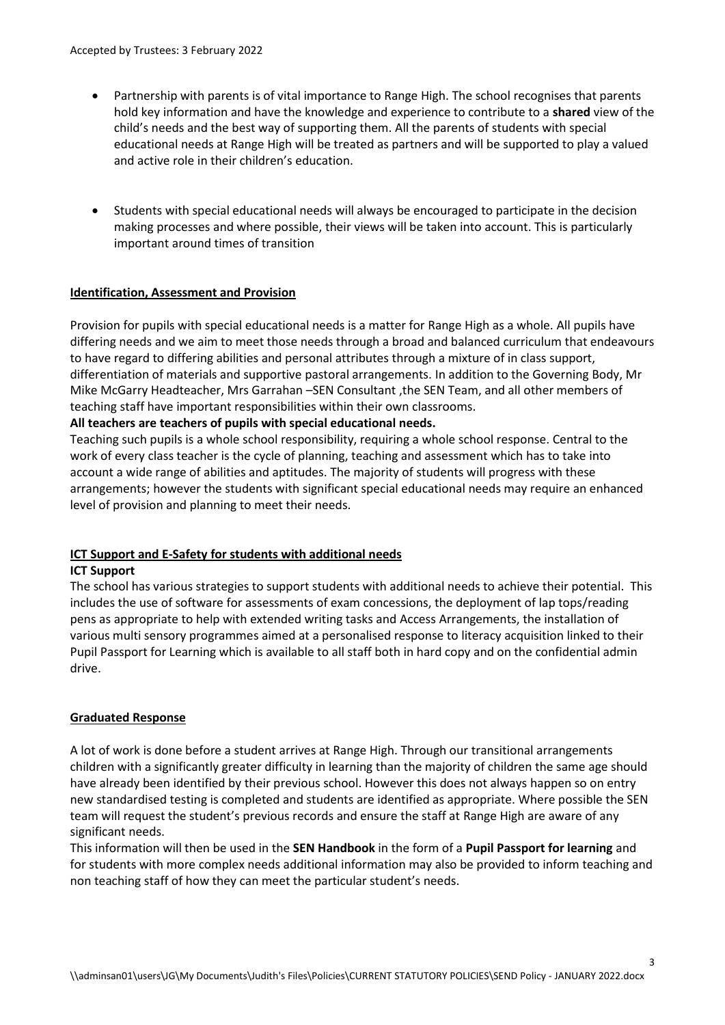- Partnership with parents is of vital importance to Range High. The school recognises that parents hold key information and have the knowledge and experience to contribute to a **shared** view of the child's needs and the best way of supporting them. All the parents of students with special educational needs at Range High will be treated as partners and will be supported to play a valued and active role in their children's education.
- Students with special educational needs will always be encouraged to participate in the decision making processes and where possible, their views will be taken into account. This is particularly important around times of transition

### **Identification, Assessment and Provision**

Provision for pupils with special educational needs is a matter for Range High as a whole. All pupils have differing needs and we aim to meet those needs through a broad and balanced curriculum that endeavours to have regard to differing abilities and personal attributes through a mixture of in class support, differentiation of materials and supportive pastoral arrangements. In addition to the Governing Body, Mr Mike McGarry Headteacher, Mrs Garrahan –SEN Consultant ,the SEN Team, and all other members of teaching staff have important responsibilities within their own classrooms.

#### **All teachers are teachers of pupils with special educational needs.**

Teaching such pupils is a whole school responsibility, requiring a whole school response. Central to the work of every class teacher is the cycle of planning, teaching and assessment which has to take into account a wide range of abilities and aptitudes. The majority of students will progress with these arrangements; however the students with significant special educational needs may require an enhanced level of provision and planning to meet their needs.

# **ICT Support and E-Safety for students with additional needs**

#### **ICT Support**

The school has various strategies to support students with additional needs to achieve their potential. This includes the use of software for assessments of exam concessions, the deployment of lap tops/reading pens as appropriate to help with extended writing tasks and Access Arrangements, the installation of various multi sensory programmes aimed at a personalised response to literacy acquisition linked to their Pupil Passport for Learning which is available to all staff both in hard copy and on the confidential admin drive.

#### **Graduated Response**

A lot of work is done before a student arrives at Range High. Through our transitional arrangements children with a significantly greater difficulty in learning than the majority of children the same age should have already been identified by their previous school. However this does not always happen so on entry new standardised testing is completed and students are identified as appropriate. Where possible the SEN team will request the student's previous records and ensure the staff at Range High are aware of any significant needs.

This information will then be used in the **SEN Handbook** in the form of a **Pupil Passport for learning** and for students with more complex needs additional information may also be provided to inform teaching and non teaching staff of how they can meet the particular student's needs.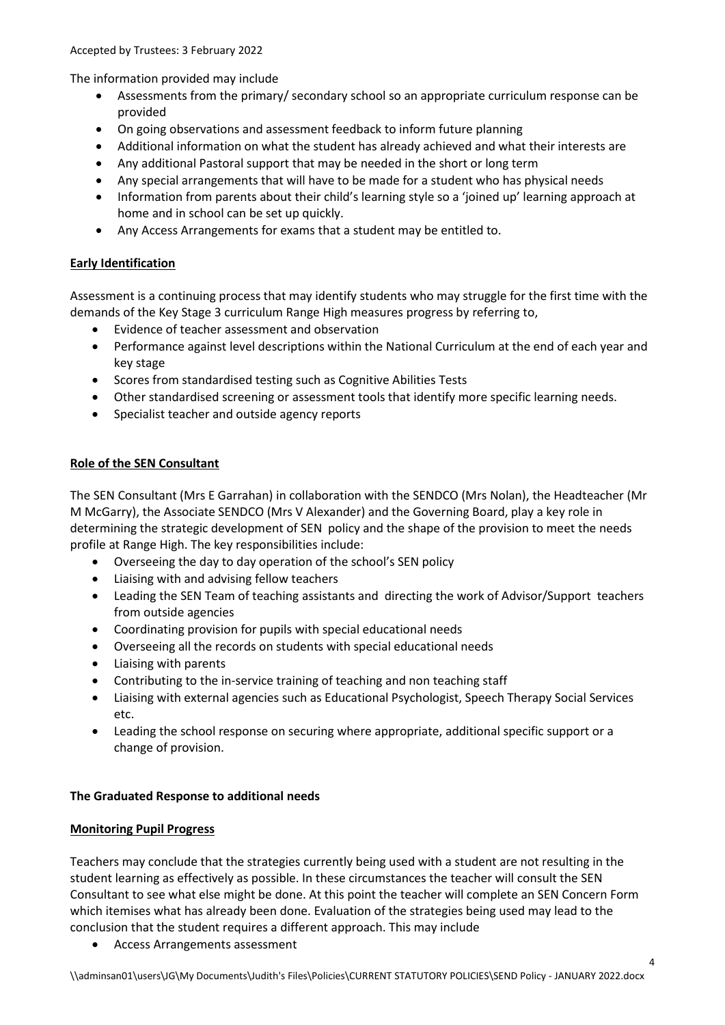Accepted by Trustees: 3 February 2022

The information provided may include

- Assessments from the primary/ secondary school so an appropriate curriculum response can be provided
- On going observations and assessment feedback to inform future planning
- Additional information on what the student has already achieved and what their interests are
- Any additional Pastoral support that may be needed in the short or long term
- Any special arrangements that will have to be made for a student who has physical needs
- Information from parents about their child's learning style so a 'joined up' learning approach at home and in school can be set up quickly.
- Any Access Arrangements for exams that a student may be entitled to.

# **Early Identification**

Assessment is a continuing process that may identify students who may struggle for the first time with the demands of the Key Stage 3 curriculum Range High measures progress by referring to,

- Evidence of teacher assessment and observation
- Performance against level descriptions within the National Curriculum at the end of each year and key stage
- Scores from standardised testing such as Cognitive Abilities Tests
- Other standardised screening or assessment tools that identify more specific learning needs.
- Specialist teacher and outside agency reports

# **Role of the SEN Consultant**

The SEN Consultant (Mrs E Garrahan) in collaboration with the SENDCO (Mrs Nolan), the Headteacher (Mr M McGarry), the Associate SENDCO (Mrs V Alexander) and the Governing Board, play a key role in determining the strategic development of SEN policy and the shape of the provision to meet the needs profile at Range High. The key responsibilities include:

- Overseeing the day to day operation of the school's SEN policy
- Liaising with and advising fellow teachers
- Leading the SEN Team of teaching assistants and directing the work of Advisor/Support teachers from outside agencies
- Coordinating provision for pupils with special educational needs
- Overseeing all the records on students with special educational needs
- Liaising with parents
- Contributing to the in-service training of teaching and non teaching staff
- Liaising with external agencies such as Educational Psychologist, Speech Therapy Social Services etc.
- Leading the school response on securing where appropriate, additional specific support or a change of provision.

# **The Graduated Response to additional needs**

# **Monitoring Pupil Progress**

Teachers may conclude that the strategies currently being used with a student are not resulting in the student learning as effectively as possible. In these circumstances the teacher will consult the SEN Consultant to see what else might be done. At this point the teacher will complete an SEN Concern Form which itemises what has already been done. Evaluation of the strategies being used may lead to the conclusion that the student requires a different approach. This may include

Access Arrangements assessment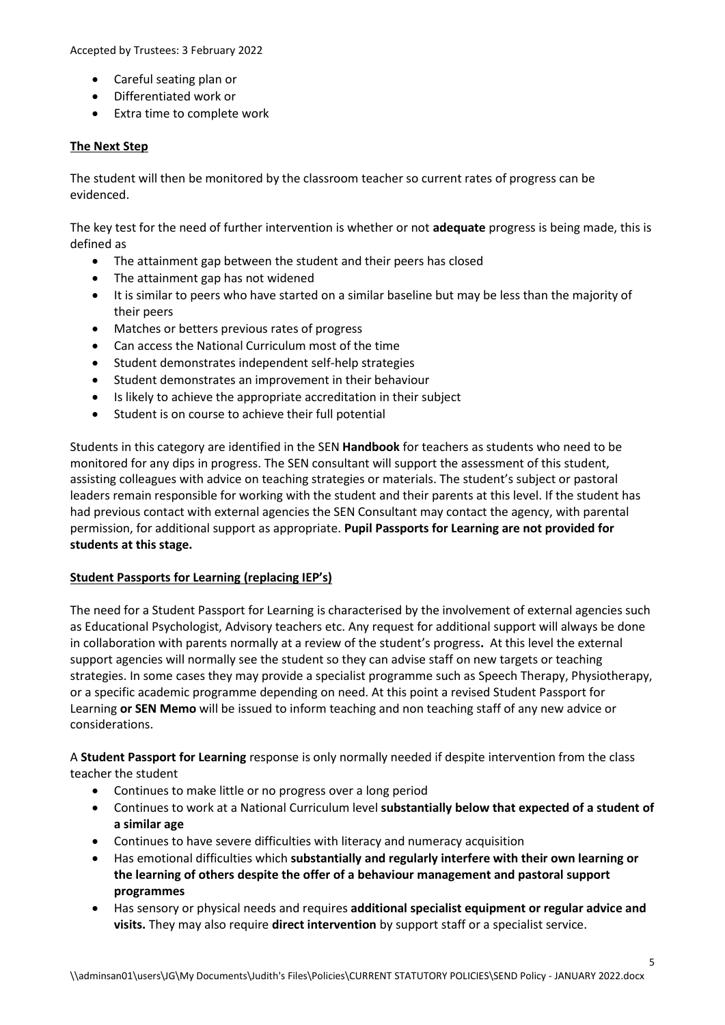Accepted by Trustees: 3 February 2022

- Careful seating plan or
- Differentiated work or
- Extra time to complete work

### **The Next Step**

The student will then be monitored by the classroom teacher so current rates of progress can be evidenced.

The key test for the need of further intervention is whether or not **adequate** progress is being made, this is defined as

- The attainment gap between the student and their peers has closed
- The attainment gap has not widened
- It is similar to peers who have started on a similar baseline but may be less than the majority of their peers
- Matches or betters previous rates of progress
- Can access the National Curriculum most of the time
- Student demonstrates independent self-help strategies
- Student demonstrates an improvement in their behaviour
- Is likely to achieve the appropriate accreditation in their subject
- Student is on course to achieve their full potential

Students in this category are identified in the SEN **Handbook** for teachers as students who need to be monitored for any dips in progress. The SEN consultant will support the assessment of this student, assisting colleagues with advice on teaching strategies or materials. The student's subject or pastoral leaders remain responsible for working with the student and their parents at this level. If the student has had previous contact with external agencies the SEN Consultant may contact the agency, with parental permission, for additional support as appropriate. **Pupil Passports for Learning are not provided for students at this stage.**

#### **Student Passports for Learning (replacing IEP's)**

The need for a Student Passport for Learning is characterised by the involvement of external agencies such as Educational Psychologist, Advisory teachers etc. Any request for additional support will always be done in collaboration with parents normally at a review of the student's progress**.** At this level the external support agencies will normally see the student so they can advise staff on new targets or teaching strategies. In some cases they may provide a specialist programme such as Speech Therapy, Physiotherapy, or a specific academic programme depending on need. At this point a revised Student Passport for Learning **or SEN Memo** will be issued to inform teaching and non teaching staff of any new advice or considerations.

A **Student Passport for Learning** response is only normally needed if despite intervention from the class teacher the student

- Continues to make little or no progress over a long period
- Continues to work at a National Curriculum level **substantially below that expected of a student of a similar age**
- Continues to have severe difficulties with literacy and numeracy acquisition
- Has emotional difficulties which **substantially and regularly interfere with their own learning or the learning of others despite the offer of a behaviour management and pastoral support programmes**
- Has sensory or physical needs and requires **additional specialist equipment or regular advice and visits.** They may also require **direct intervention** by support staff or a specialist service.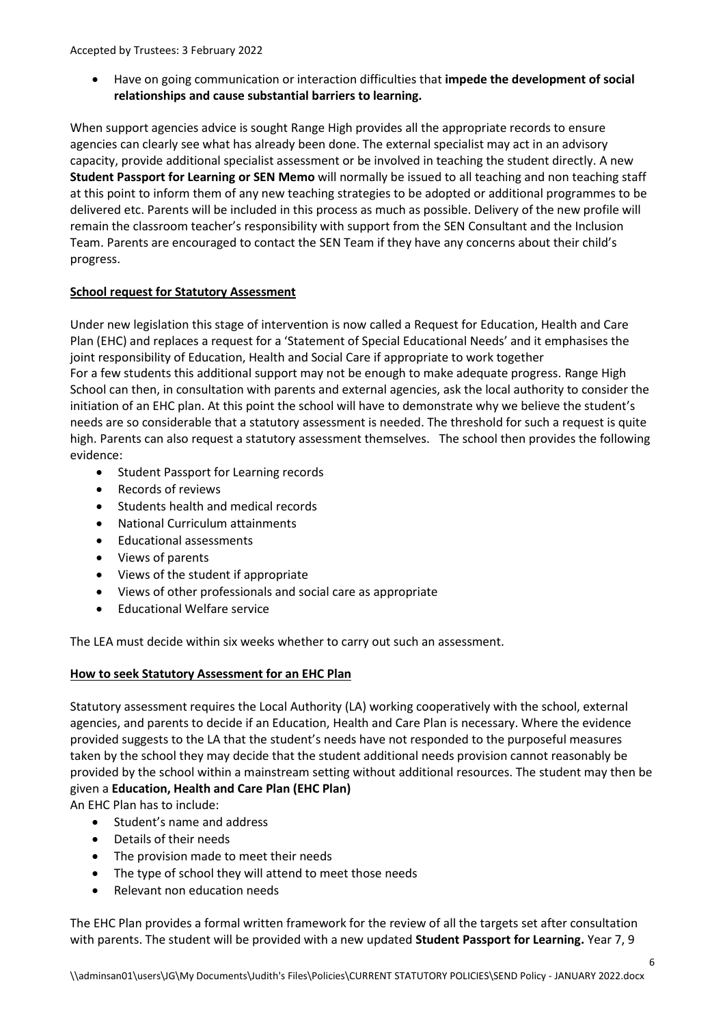Have on going communication or interaction difficulties that **impede the development of social relationships and cause substantial barriers to learning.**

When support agencies advice is sought Range High provides all the appropriate records to ensure agencies can clearly see what has already been done. The external specialist may act in an advisory capacity, provide additional specialist assessment or be involved in teaching the student directly. A new **Student Passport for Learning or SEN Memo** will normally be issued to all teaching and non teaching staff at this point to inform them of any new teaching strategies to be adopted or additional programmes to be delivered etc. Parents will be included in this process as much as possible. Delivery of the new profile will remain the classroom teacher's responsibility with support from the SEN Consultant and the Inclusion Team. Parents are encouraged to contact the SEN Team if they have any concerns about their child's progress.

### **School request for Statutory Assessment**

Under new legislation this stage of intervention is now called a Request for Education, Health and Care Plan (EHC) and replaces a request for a 'Statement of Special Educational Needs' and it emphasises the joint responsibility of Education, Health and Social Care if appropriate to work together For a few students this additional support may not be enough to make adequate progress. Range High School can then, in consultation with parents and external agencies, ask the local authority to consider the initiation of an EHC plan. At this point the school will have to demonstrate why we believe the student's needs are so considerable that a statutory assessment is needed. The threshold for such a request is quite high. Parents can also request a statutory assessment themselves. The school then provides the following evidence:

- Student Passport for Learning records
- Records of reviews
- Students health and medical records
- National Curriculum attainments
- Educational assessments
- Views of parents
- Views of the student if appropriate
- Views of other professionals and social care as appropriate
- Educational Welfare service

The LEA must decide within six weeks whether to carry out such an assessment.

#### **How to seek Statutory Assessment for an EHC Plan**

Statutory assessment requires the Local Authority (LA) working cooperatively with the school, external agencies, and parents to decide if an Education, Health and Care Plan is necessary. Where the evidence provided suggests to the LA that the student's needs have not responded to the purposeful measures taken by the school they may decide that the student additional needs provision cannot reasonably be provided by the school within a mainstream setting without additional resources. The student may then be given a **Education, Health and Care Plan (EHC Plan)**

An EHC Plan has to include:

- Student's name and address
- Details of their needs
- The provision made to meet their needs
- The type of school they will attend to meet those needs
- Relevant non education needs

The EHC Plan provides a formal written framework for the review of all the targets set after consultation with parents. The student will be provided with a new updated **Student Passport for Learning.** Year 7, 9